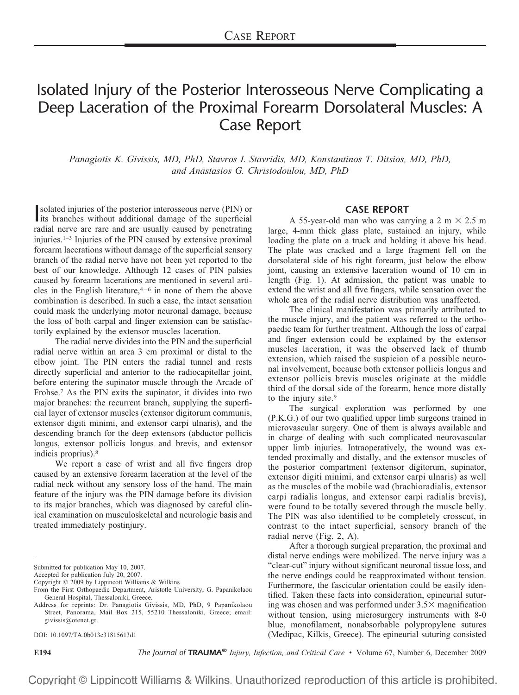## Isolated Injury of the Posterior Interosseous Nerve Complicating a Deep Laceration of the Proximal Forearm Dorsolateral Muscles: A Case Report

*Panagiotis K. Givissis, MD, PhD, Stavros I. Stavridis, MD, Konstantinos T. Ditsios, MD, PhD, and Anastasios G. Christodoulou, MD, PhD*

solated injuries of the posterior interosseous nerve (PIN) or<br>its branches without additional damage of the superficial solated injuries of the posterior interosseous nerve (PIN) or radial nerve are rare and are usually caused by penetrating injuries.1–3 Injuries of the PIN caused by extensive proximal forearm lacerations without damage of the superficial sensory branch of the radial nerve have not been yet reported to the best of our knowledge. Although 12 cases of PIN palsies caused by forearm lacerations are mentioned in several articles in the English literature, $4-6$  in none of them the above combination is described. In such a case, the intact sensation could mask the underlying motor neuronal damage, because the loss of both carpal and finger extension can be satisfactorily explained by the extensor muscles laceration.

The radial nerve divides into the PIN and the superficial radial nerve within an area 3 cm proximal or distal to the elbow joint. The PIN enters the radial tunnel and rests directly superficial and anterior to the radiocapitellar joint, before entering the supinator muscle through the Arcade of Frohse.7 As the PIN exits the supinator, it divides into two major branches: the recurrent branch, supplying the superficial layer of extensor muscles (extensor digitorum communis, extensor digiti minimi, and extensor carpi ulnaris), and the descending branch for the deep extensors (abductor pollicis longus, extensor pollicis longus and brevis, and extensor indicis proprius).8

We report a case of wrist and all five fingers drop caused by an extensive forearm laceration at the level of the radial neck without any sensory loss of the hand. The main feature of the injury was the PIN damage before its division to its major branches, which was diagnosed by careful clinical examination on musculoskeletal and neurologic basis and treated immediately postinjury.

Address for reprints: Dr. Panagiotis Givissis, MD, PhD, 9 Papanikolaou Street, Panorama, Mail Box 215, 55210 Thessaloniki, Greece; email: givissis@otenet.gr.

DOI: 10.1097/TA.0b013e31815613d1

**E194** *The Journal of TRAUMA® Injury, Infection, and Critical Care* • Volume 67, Number 6, December 2009

## **CASE REPORT**

A 55-year-old man who was carrying a 2 m  $\times$  2.5 m large, 4-mm thick glass plate, sustained an injury, while loading the plate on a truck and holding it above his head. The plate was cracked and a large fragment fell on the dorsolateral side of his right forearm, just below the elbow joint, causing an extensive laceration wound of 10 cm in length (Fig. 1). At admission, the patient was unable to extend the wrist and all five fingers, while sensation over the whole area of the radial nerve distribution was unaffected.

The clinical manifestation was primarily attributed to the muscle injury, and the patient was referred to the orthopaedic team for further treatment. Although the loss of carpal and finger extension could be explained by the extensor muscles laceration, it was the observed lack of thumb extension, which raised the suspicion of a possible neuronal involvement, because both extensor pollicis longus and extensor pollicis brevis muscles originate at the middle third of the dorsal side of the forearm, hence more distally to the injury site.<sup>9</sup>

The surgical exploration was performed by one (P.K.G.) of our two qualified upper limb surgeons trained in microvascular surgery. One of them is always available and in charge of dealing with such complicated neurovascular upper limb injuries. Intraoperatively, the wound was extended proximally and distally, and the extensor muscles of the posterior compartment (extensor digitorum, supinator, extensor digiti minimi, and extensor carpi ulnaris) as well as the muscles of the mobile wad (brachioradialis, extensor carpi radialis longus, and extensor carpi radialis brevis), were found to be totally severed through the muscle belly. The PIN was also identified to be completely crosscut, in contrast to the intact superficial, sensory branch of the radial nerve (Fig. 2, A).

After a thorough surgical preparation, the proximal and distal nerve endings were mobilized. The nerve injury was a "clear-cut" injury without significant neuronal tissue loss, and the nerve endings could be reapproximated without tension. Furthermore, the fascicular orientation could be easily identified. Taken these facts into consideration, epineurial suturing was chosen and was performed under  $3.5\times$  magnification without tension, using microsurgery instruments with 8-0 blue, monofilament, nonabsorbable polypropylene sutures (Medipac, Kilkis, Greece). The epineurial suturing consisted

Copyright © Lippincott Williams & Wilkins. Unauthorized reproduction of this article is prohibited.

Submitted for publication May 10, 2007.

Accepted for publication July 20, 2007.

Copyright © 2009 by Lippincott Williams & Wilkins

From the First Orthopaedic Department, Aristotle University, G. Papanikolaou General Hospital, Thessaloniki, Greece.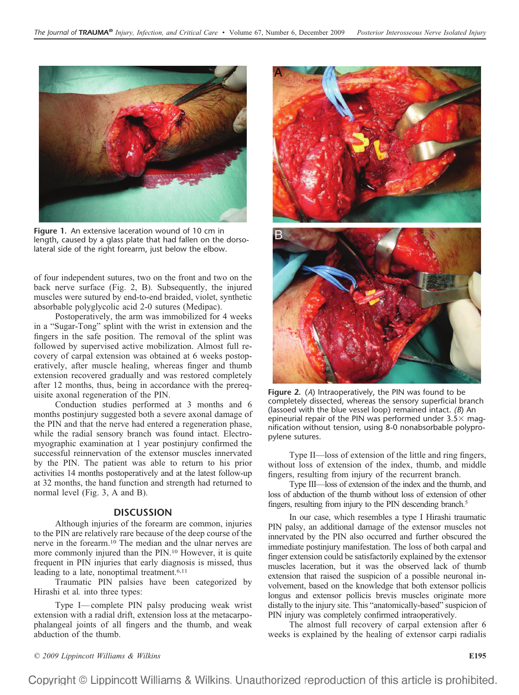

**Figure 1.** An extensive laceration wound of 10 cm in length, caused by a glass plate that had fallen on the dorsolateral side of the right forearm, just below the elbow.

of four independent sutures, two on the front and two on the back nerve surface (Fig. 2, B). Subsequently, the injured muscles were sutured by end-to-end braided, violet, synthetic absorbable polyglycolic acid 2-0 sutures (Medipac).

Postoperatively, the arm was immobilized for 4 weeks in a "Sugar-Tong" splint with the wrist in extension and the fingers in the safe position. The removal of the splint was followed by supervised active mobilization. Almost full recovery of carpal extension was obtained at 6 weeks postoperatively, after muscle healing, whereas finger and thumb extension recovered gradually and was restored completely after 12 months, thus, being in accordance with the prerequisite axonal regeneration of the PIN.

Conduction studies performed at 3 months and 6 months postinjury suggested both a severe axonal damage of the PIN and that the nerve had entered a regeneration phase, while the radial sensory branch was found intact. Electromyographic examination at 1 year postinjury confirmed the successful reinnervation of the extensor muscles innervated by the PIN. The patient was able to return to his prior activities 14 months postoperatively and at the latest follow-up at 32 months, the hand function and strength had returned to normal level (Fig. 3, A and B).

## **DISCUSSION**

Although injuries of the forearm are common, injuries to the PIN are relatively rare because of the deep course of the nerve in the forearm.10 The median and the ulnar nerves are more commonly injured than the PIN.10 However, it is quite frequent in PIN injuries that early diagnosis is missed, thus leading to a late, nonoptimal treatment.<sup>6,11</sup>

Traumatic PIN palsies have been categorized by Hirashi et al*.* into three types:

Type I— complete PIN palsy producing weak wrist extension with a radial drift, extension loss at the metacarpophalangeal joints of all fingers and the thumb, and weak abduction of the thumb.



**Figure 2.** (*A*) Intraoperatively, the PIN was found to be completely dissected, whereas the sensory superficial branch (lassoed with the blue vessel loop) remained intact. *(B*) An epineurial repair of the PIN was performed under  $3.5\times$  magnification without tension, using 8-0 nonabsorbable polypropylene sutures.

Type II—loss of extension of the little and ring fingers, without loss of extension of the index, thumb, and middle fingers, resulting from injury of the recurrent branch.

Type III—loss of extension of the index and the thumb, and loss of abduction of the thumb without loss of extension of other fingers, resulting from injury to the PIN descending branch.<sup>5</sup>

In our case, which resembles a type I Hirashi traumatic PIN palsy, an additional damage of the extensor muscles not innervated by the PIN also occurred and further obscured the immediate postinjury manifestation. The loss of both carpal and finger extension could be satisfactorily explained by the extensor muscles laceration, but it was the observed lack of thumb extension that raised the suspicion of a possible neuronal involvement, based on the knowledge that both extensor pollicis longus and extensor pollicis brevis muscles originate more distally to the injury site. This "anatomically-based" suspicion of PIN injury was completely confirmed intraoperatively.

The almost full recovery of carpal extension after 6 weeks is explained by the healing of extensor carpi radialis

*© 2009 Lippincott Williams & Wilkins* **E195**

Copyright © Lippincott Williams & Wilkins. Unauthorized reproduction of this article is prohibited.